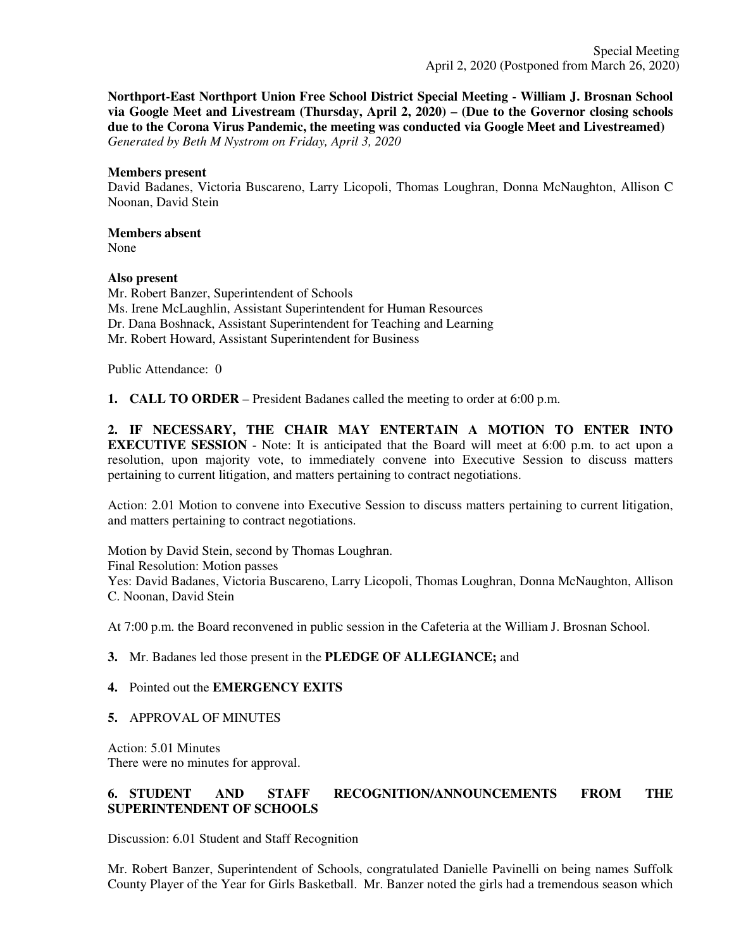**Northport-East Northport Union Free School District Special Meeting - William J. Brosnan School via Google Meet and Livestream (Thursday, April 2, 2020) – (Due to the Governor closing schools due to the Corona Virus Pandemic, the meeting was conducted via Google Meet and Livestreamed)** *Generated by Beth M Nystrom on Friday, April 3, 2020*

## **Members present**

David Badanes, Victoria Buscareno, Larry Licopoli, Thomas Loughran, Donna McNaughton, Allison C Noonan, David Stein

# **Members absent**

None

# **Also present**

Mr. Robert Banzer, Superintendent of Schools Ms. Irene McLaughlin, Assistant Superintendent for Human Resources Dr. Dana Boshnack, Assistant Superintendent for Teaching and Learning Mr. Robert Howard, Assistant Superintendent for Business

Public Attendance: 0

**1. CALL TO ORDER** – President Badanes called the meeting to order at 6:00 p.m.

**2. IF NECESSARY, THE CHAIR MAY ENTERTAIN A MOTION TO ENTER INTO EXECUTIVE SESSION** - Note: It is anticipated that the Board will meet at 6:00 p.m. to act upon a resolution, upon majority vote, to immediately convene into Executive Session to discuss matters pertaining to current litigation, and matters pertaining to contract negotiations.

Action: 2.01 Motion to convene into Executive Session to discuss matters pertaining to current litigation, and matters pertaining to contract negotiations.

Motion by David Stein, second by Thomas Loughran. Final Resolution: Motion passes Yes: David Badanes, Victoria Buscareno, Larry Licopoli, Thomas Loughran, Donna McNaughton, Allison C. Noonan, David Stein

At 7:00 p.m. the Board reconvened in public session in the Cafeteria at the William J. Brosnan School.

# **3.** Mr. Badanes led those present in the **PLEDGE OF ALLEGIANCE;** and

# **4.** Pointed out the **EMERGENCY EXITS**

**5.** APPROVAL OF MINUTES

Action: 5.01 Minutes There were no minutes for approval.

# **6. STUDENT AND STAFF RECOGNITION/ANNOUNCEMENTS FROM THE SUPERINTENDENT OF SCHOOLS**

Discussion: 6.01 Student and Staff Recognition

Mr. Robert Banzer, Superintendent of Schools, congratulated Danielle Pavinelli on being names Suffolk County Player of the Year for Girls Basketball. Mr. Banzer noted the girls had a tremendous season which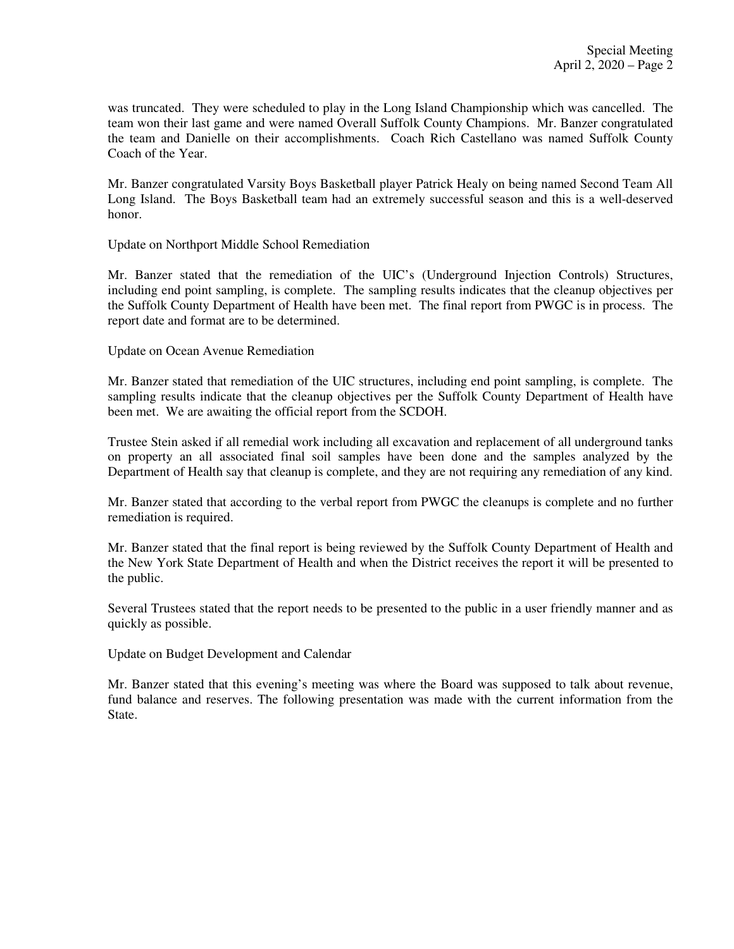was truncated. They were scheduled to play in the Long Island Championship which was cancelled. The team won their last game and were named Overall Suffolk County Champions. Mr. Banzer congratulated the team and Danielle on their accomplishments. Coach Rich Castellano was named Suffolk County Coach of the Year.

Mr. Banzer congratulated Varsity Boys Basketball player Patrick Healy on being named Second Team All Long Island. The Boys Basketball team had an extremely successful season and this is a well-deserved honor.

Update on Northport Middle School Remediation

Mr. Banzer stated that the remediation of the UIC's (Underground Injection Controls) Structures, including end point sampling, is complete. The sampling results indicates that the cleanup objectives per the Suffolk County Department of Health have been met. The final report from PWGC is in process. The report date and format are to be determined.

Update on Ocean Avenue Remediation

Mr. Banzer stated that remediation of the UIC structures, including end point sampling, is complete. The sampling results indicate that the cleanup objectives per the Suffolk County Department of Health have been met. We are awaiting the official report from the SCDOH.

Trustee Stein asked if all remedial work including all excavation and replacement of all underground tanks on property an all associated final soil samples have been done and the samples analyzed by the Department of Health say that cleanup is complete, and they are not requiring any remediation of any kind.

Mr. Banzer stated that according to the verbal report from PWGC the cleanups is complete and no further remediation is required.

Mr. Banzer stated that the final report is being reviewed by the Suffolk County Department of Health and the New York State Department of Health and when the District receives the report it will be presented to the public.

Several Trustees stated that the report needs to be presented to the public in a user friendly manner and as quickly as possible.

Update on Budget Development and Calendar

Mr. Banzer stated that this evening's meeting was where the Board was supposed to talk about revenue, fund balance and reserves. The following presentation was made with the current information from the State.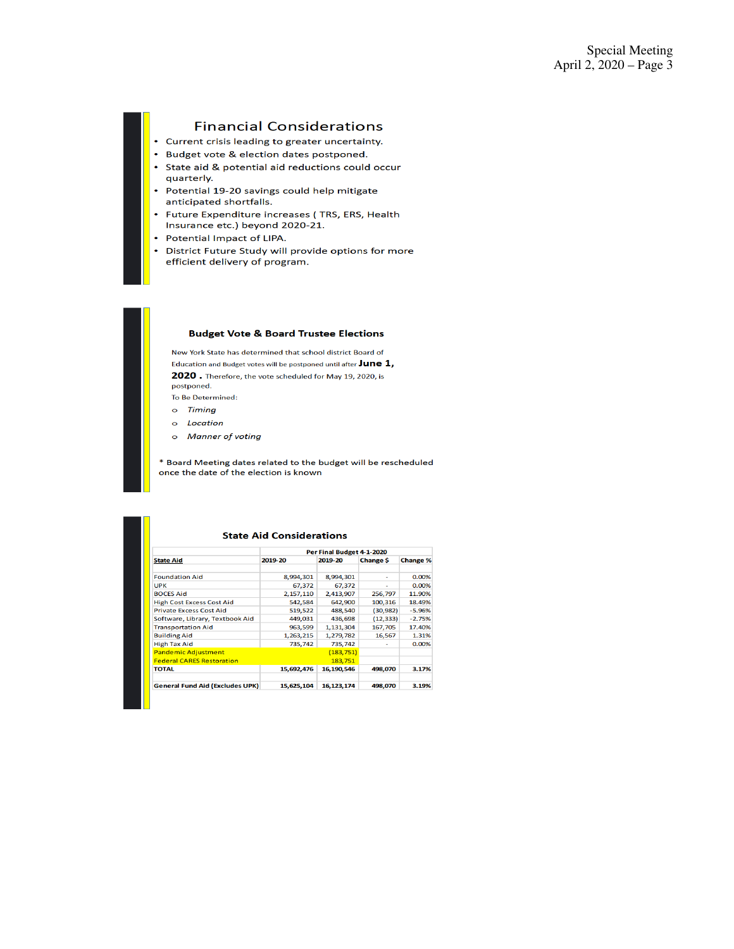# **Financial Considerations**

- Current crisis leading to greater uncertainty.
- Budget vote & election dates postponed.
- State aid & potential aid reductions could occur quarterly.
- Potential 19-20 savings could help mitigate anticipated shortfalls.
- $\bullet$ Future Expenditure increases (TRS, ERS, Health Insurance etc.) beyond 2020-21.
- Potential Impact of LIPA.
- District Future Study will provide options for more efficient delivery of program.

#### **Budget Vote & Board Trustee Elections**

New York State has determined that school district Board of Education and Budget votes will be postponed until after  $June 1,$ 2020. Therefore, the vote scheduled for May 19, 2020, is postponed. To Be Determined:

- o Timing
- 
- $\circ$ Location
- **Manner of voting**  $\circ$

\* Board Meeting dates related to the budget will be rescheduled once the date of the election is known

|                                        | Per Final Budget 4-1-2020 |            |           |                 |  |  |
|----------------------------------------|---------------------------|------------|-----------|-----------------|--|--|
| <b>State Aid</b>                       | 2019-20                   | 2019-20    | Change \$ | <b>Change %</b> |  |  |
| <b>Foundation Aid</b>                  | 8.994.301                 | 8.994.301  |           | 0.00%           |  |  |
| <b>UPK</b>                             | 67.372                    | 67.372     |           | 0.00%           |  |  |
| <b>BOCES Aid</b>                       | 2,157,110                 | 2,413,907  | 256.797   | 11.90%          |  |  |
| <b>High Cost Excess Cost Aid</b>       | 542,584                   | 642.900    | 100,316   | 18.49%          |  |  |
| <b>Private Excess Cost Aid</b>         | 519,522                   | 488,540    | (30, 982) | $-5.96%$        |  |  |
| Software, Library, Textbook Aid        | 449.031                   | 436,698    | (12, 333) | $-2.75%$        |  |  |
| <b>Transportation Aid</b>              | 963.599                   | 1.131.304  | 167,705   | 17.40%          |  |  |
| <b>Building Aid</b>                    | 1.263.215                 | 1.279.782  | 16.567    | 1.31%           |  |  |
| <b>High Tax Aid</b>                    | 735.742                   | 735,742    |           | 0.00%           |  |  |
| <b>Pandemic Adjustment</b>             |                           | (183, 751) |           |                 |  |  |
| <b>Federal CARES Restoration</b>       |                           | 183.751    |           |                 |  |  |
| <b>TOTAL</b>                           | 15,692,476                | 16,190,546 | 498,070   | 3.17%           |  |  |
|                                        |                           |            |           |                 |  |  |
| <b>General Fund Aid (Excludes UPK)</b> | 15.625.104                | 16.123.174 | 498,070   | 3.19%           |  |  |

#### **State Aid Considerations**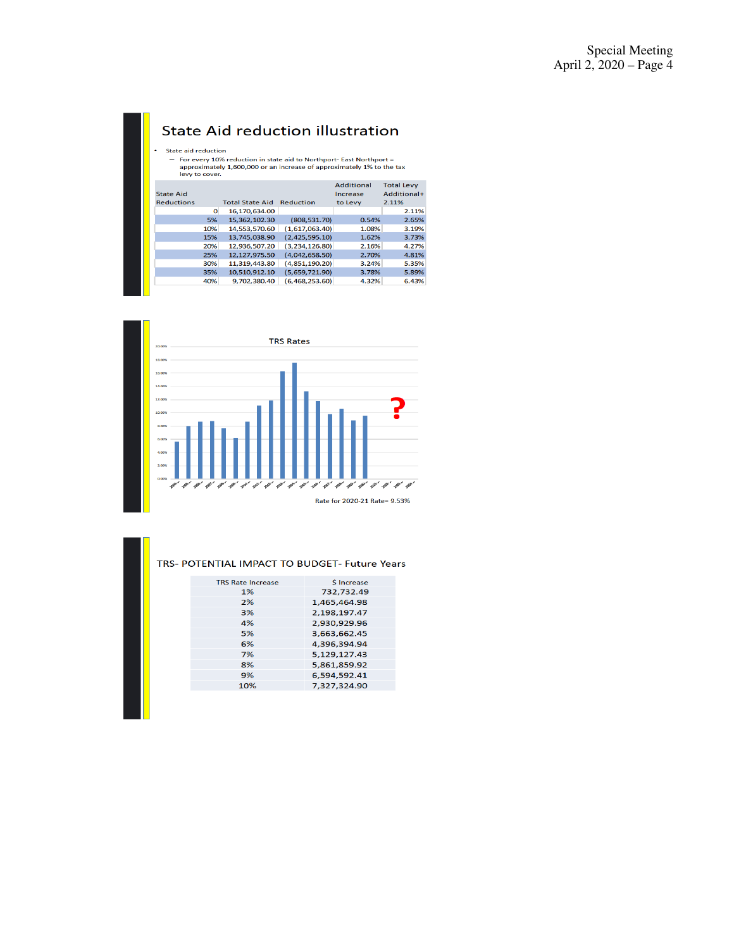# **State Aid reduction illustration**

#### State aid reduction

# state ald reduction<br>- For every 10% reduction in state aid to Northport- East Northport =<br>approximately 1,600,000 or an increase of approximately 1% to the tax<br>levy to cover.

| <b>State Aid</b>  |     |                        |                  | Additional<br>Increase | <b>Total Levy</b><br>Additional+ |
|-------------------|-----|------------------------|------------------|------------------------|----------------------------------|
| <b>Reductions</b> |     | <b>Total State Aid</b> | <b>Reduction</b> | to Levy                | 2.11%                            |
|                   | 0   | 16,170,634.00          |                  |                        | 2.11%                            |
|                   | 5%  | 15,362,102.30          | (808, 531, 70)   | 0.54%                  | 2.65%                            |
|                   | 10% | 14,553,570.60          | (1,617,063,40)   | 1.08%                  | 3.19%                            |
|                   | 15% | 13,745,038.90          | (2,425,595,10)   | 1.62%                  | 3.73%                            |
|                   | 20% | 12.936.507.20          | (3, 234, 126.80) | 2.16%                  | 4.27%                            |
|                   | 25% | 12.127.975.50          | (4.042.658.50)   | 2.70%                  | 4.81%                            |
|                   | 30% | 11.319.443.80          | (4,851,190.20)   | 3.24%                  | 5.35%                            |
|                   | 35% | 10,510,912.10          | (5,659,721.90)   | 3.78%                  | 5.89%                            |
|                   | 40% | 9.702.380.40           | (6.468.253.60)   | 4.32%                  | 6.43%                            |
|                   |     |                        |                  |                        |                                  |



#### TRS- POTENTIAL IMPACT TO BUDGET- Future Years

| <b>TRS Rate Increase</b> | <b>S</b> Increase |
|--------------------------|-------------------|
| 1%                       | 732,732.49        |
| 2%                       | 1,465,464.98      |
| 3%                       | 2.198.197.47      |
| 4%                       | 2.930.929.96      |
| 5%                       | 3,663,662.45      |
| 6%                       | 4,396,394.94      |
| 7%                       | 5.129.127.43      |
| 8%                       | 5,861,859.92      |
| 9%                       | 6,594,592.41      |
| 10%                      | 7.327.324.90      |
|                          |                   |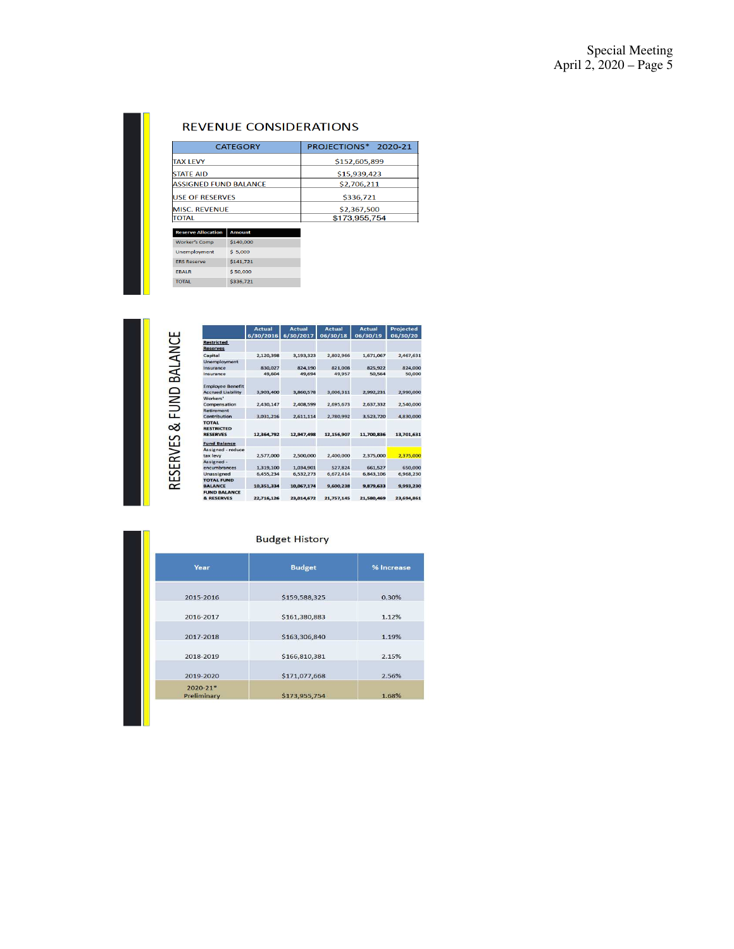# **REVENUE CONSIDERATIONS**

| <b>CATEGORY</b>              | PROJECTIONS* 2020-21 |
|------------------------------|----------------------|
| <b>TAX LEVY</b>              | \$152,605.899        |
| <b>STATE AID</b>             | \$15,939,423         |
| <b>ASSIGNED FUND BALANCE</b> | \$2,706,211          |
| <b>USE OF RESERVES</b>       | \$336,721            |
| <b>MISC. REVENUE</b>         | \$2,367,500          |
| TOTAL                        | \$173,955,754        |

| <b>Worker's Comp</b> | \$140,000 |
|----------------------|-----------|
| Unemployment         | \$5,000   |
| <b>FRS Reserve</b>   | \$141.721 |
| <b>FRAIR</b>         | \$50,000  |
| <b>TOTAL</b>         | \$336,721 |

RESERVES & FUND BALANCE

|                                                      | Actual<br>6/30/2016 | Actual<br>6/30/2017 | Actual<br>06/30/18 | Actual<br>06/30/19 | Projected<br>06/30/20 |
|------------------------------------------------------|---------------------|---------------------|--------------------|--------------------|-----------------------|
| <b>Restricted</b><br><b>Reserves</b>                 |                     |                     |                    |                    |                       |
| Capital                                              | 2,120,398           | 3,193,323           | 2,802,966          | 1,671,067          | 2,467,631             |
| Unemployment<br>Insurance                            | 830,027             | 824.190             | 821,008            | 825,922            | 824,000               |
| Insurance                                            | 49,604              | 49,694              | 49,957             | 50,564             | 50,000                |
| <b>Employee Benefit</b><br><b>Accrued Liability</b>  | 3.903.400           | 3.860.578           | 3.006.311          | 2.992.231          | 2,990,000             |
| Workers'<br>Compensation                             | 2,430.147           | 2.408.599           | 2.695.673          | 2.637.332          | 2.540,000             |
| <b>Retirement</b><br>Contribution                    | 3,031,216           | 2,611,114           | 2,780,992          | 3,523,720          | 4,830,000             |
| <b>TOTAL</b><br><b>RESTRICTED</b><br><b>RESERVES</b> | 12,364,792          | 12,947,498          | 12.156.907         | 11,700.836         | 13.701.631            |
| <b>Fund Balance</b>                                  |                     |                     |                    |                    |                       |
| Assigned - reduce<br>tax levy                        | 2,577,000           | 2,500,000           | 2,400,000          | 2.375.000          | 2.375,000             |
| Assigned -<br>encumbrances                           | 1,319,100           | 1.034.901           | 527,824            | 661.527            | 650,000               |
| Unassigned                                           | 6,455,234           | 6,532,273           | 6,672,414          | 6,843,106          | 6,968,230             |
| <b>TOTAL FUND</b><br><b>BALANCE</b>                  | 10,351,334          | 10,067,174          | 9,600,238          | 9,879,633          | 9,993,230             |
| <b>FUND BALANCE</b><br><b>&amp; RESERVES</b>         | 22,716,126          | 23,014,672          | 21,757,145         | 21,580,469         | 23,694,861            |

## **Budget History**

| Year                        | <b>Budget</b> | % Increase |
|-----------------------------|---------------|------------|
| 2015-2016                   | \$159,588,325 | 0.30%      |
| 2016-2017                   | \$161,380,883 | 1.12%      |
| 2017-2018                   | \$163,306,840 | 1.19%      |
| 2018-2019                   | \$166,810,381 | 2.15%      |
| 2019-2020                   | \$171,077,668 | 2.56%      |
| $2020 - 21*$<br>Preliminary | \$173,955,754 | 1.68%      |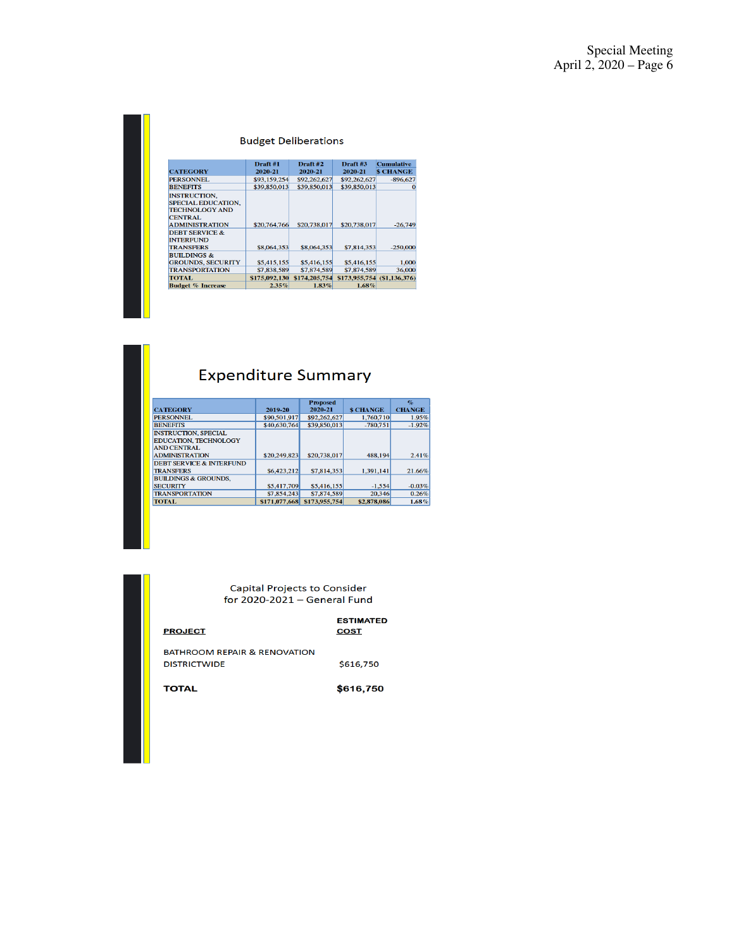## **Budget Deliberations**

|                                                                                                                      | Draft #1      | Draft #2      | Draft #3                    | <b>Cumulative</b> |
|----------------------------------------------------------------------------------------------------------------------|---------------|---------------|-----------------------------|-------------------|
| <b>CATEGORY</b>                                                                                                      | 2020-21       | 2020-21       | 2020-21                     | <b>S CHANGE</b>   |
| <b>PERSONNEL</b>                                                                                                     | \$93,159,254  | \$92,262,627  | \$92,262,627                | $-896,627$        |
| <b>BENEFITS</b>                                                                                                      | \$39,850,013  | \$39,850,013  | \$39,850,013                |                   |
| <b>INSTRUCTION.</b><br><b>SPECIAL EDUCATION.</b><br><b>TECHNOLOGY AND</b><br><b>CENTRAL</b><br><b>ADMINISTRATION</b> | \$20,764,766  | \$20,738,017  | \$20,738,017                | $-26,749$         |
| <b>DEBT SERVICE &amp;</b>                                                                                            |               |               |                             |                   |
| <b>INTERFUND</b>                                                                                                     |               |               |                             |                   |
| <b>TRANSFERS</b>                                                                                                     | \$8,064,353   | \$8,064,353   | \$7,814,353                 | $-250,000$        |
| <b>BUILDINGS &amp;</b><br><b>GROUNDS, SECURITY</b>                                                                   | \$5,415,155   | \$5,416,155   | \$5,416,155                 | 1,000             |
| <b>TRANSPORTATION</b>                                                                                                | \$7,838,589   | \$7,874,589   | \$7,874,589                 | 36,000            |
| <b>TOTAL</b>                                                                                                         | \$175,092,130 | \$174,205,754 | \$173,955,754 (\$1,136,376) |                   |
| <b>Budget % Increase</b>                                                                                             | $2.35\%$      | $1.83\%$      | $1.68\%$                    |                   |

# **Expenditure Summary**

|                                     |               | <b>Proposed</b> |                  | $\mathbf{q}_c$ |
|-------------------------------------|---------------|-----------------|------------------|----------------|
| <b>CATEGORY</b>                     | 2019-20       | 2020-21         | <b>\$ CHANGE</b> | <b>CHANGE</b>  |
| <b>PERSONNEL</b>                    | \$90,501,917  | \$92,262,627    | 1,760,710        | 1.95%          |
| <b>BENEFITS</b>                     | \$40,630,764  | \$39,850,013    | $-780.751$       | $-1.92%$       |
| <b>INSTRUCTION, SPECIAL</b>         |               |                 |                  |                |
| <b>EDUCATION, TECHNOLOGY</b>        |               |                 |                  |                |
| <b>AND CENTRAL</b>                  |               |                 |                  |                |
| <b>ADMINISTRATION</b>               | \$20,249,823  | \$20,738,017    | 488.194          | 2.41%          |
| <b>DEBT SERVICE &amp; INTERFUND</b> |               |                 |                  |                |
| <b>TRANSFERS</b>                    | \$6,423,212   | \$7,814,353     | 1,391,141        | 21.66%         |
| <b>BUILDINGS &amp; GROUNDS.</b>     |               |                 |                  |                |
| <b>SECURITY</b>                     | \$5,417,709   | \$5,416,155     | $-1,554$         | $-0.03%$       |
| <b>TRANSPORTATION</b>               | \$7,854,243   | \$7,874,589     | 20.346           | 0.26%          |
| <b>TOTAL</b>                        | \$171,077,668 | \$173,955,754   | \$2,878,086      | $1.68\%$       |

Capital Projects to Consider<br>for 2020-2021 – General Fund

| <b>PROJECT</b>                                                 | <b>ESTIMATED</b><br><b>COST</b> |
|----------------------------------------------------------------|---------------------------------|
| <b>BATHROOM REPAIR &amp; RENOVATION</b><br><b>DISTRICTWIDE</b> | \$616,750                       |
| <b>TOTAL</b>                                                   | \$616,750                       |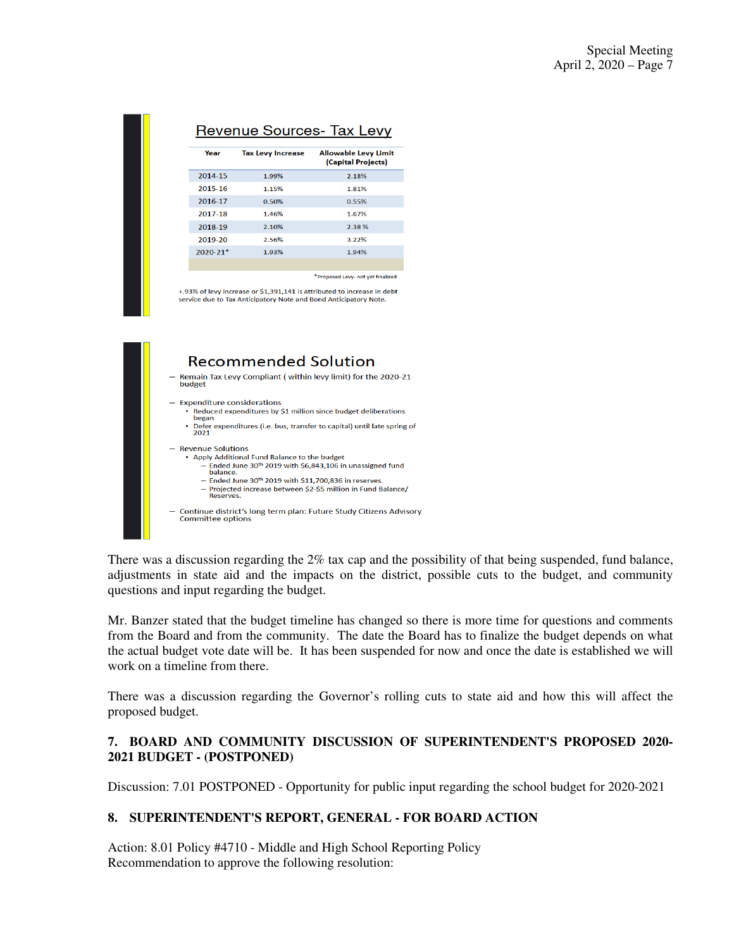| Year         | <b>Tax Levy Increase</b> | <b>Allowable Levy Limit</b><br>(Capital Projects) |
|--------------|--------------------------|---------------------------------------------------|
| 2014-15      | 1.99%                    | 2.18%                                             |
| 2015-16      | 1.15%                    | 1.81%                                             |
| 2016-17      | 0.50%                    | 0.55%                                             |
| 2017-18      | 1.46%                    | 1.67%                                             |
| 2018-19      | 2.10%                    | 2.38%                                             |
| 2019-20      | 2.56%                    | 3.22%                                             |
| $2020 - 21*$ | 1.93%                    | 1.94%                                             |
|              |                          |                                                   |

g3% of levy increase or \$1,391,141 is attributed to increase in debt . service due to Tax Anticipatory Note and Bond Anticipatory Note.



There was a discussion regarding the 2% tax cap and the possibility of that being suspended, fund balance, adjustments in state aid and the impacts on the district, possible cuts to the budget, and community questions and input regarding the budget.

Mr. Banzer stated that the budget timeline has changed so there is more time for questions and comments from the Board and from the community. The date the Board has to finalize the budget depends on what the actual budget vote date will be. It has been suspended for now and once the date is established we will work on a timeline from there.

There was a discussion regarding the Governor's rolling cuts to state aid and how this will affect the proposed budget.

# **7. BOARD AND COMMUNITY DISCUSSION OF SUPERINTENDENT'S PROPOSED 2020- 2021 BUDGET - (POSTPONED)**

Discussion: 7.01 POSTPONED - Opportunity for public input regarding the school budget for 2020-2021

# **8. SUPERINTENDENT'S REPORT, GENERAL - FOR BOARD ACTION**

Action: 8.01 Policy #4710 - Middle and High School Reporting Policy Recommendation to approve the following resolution: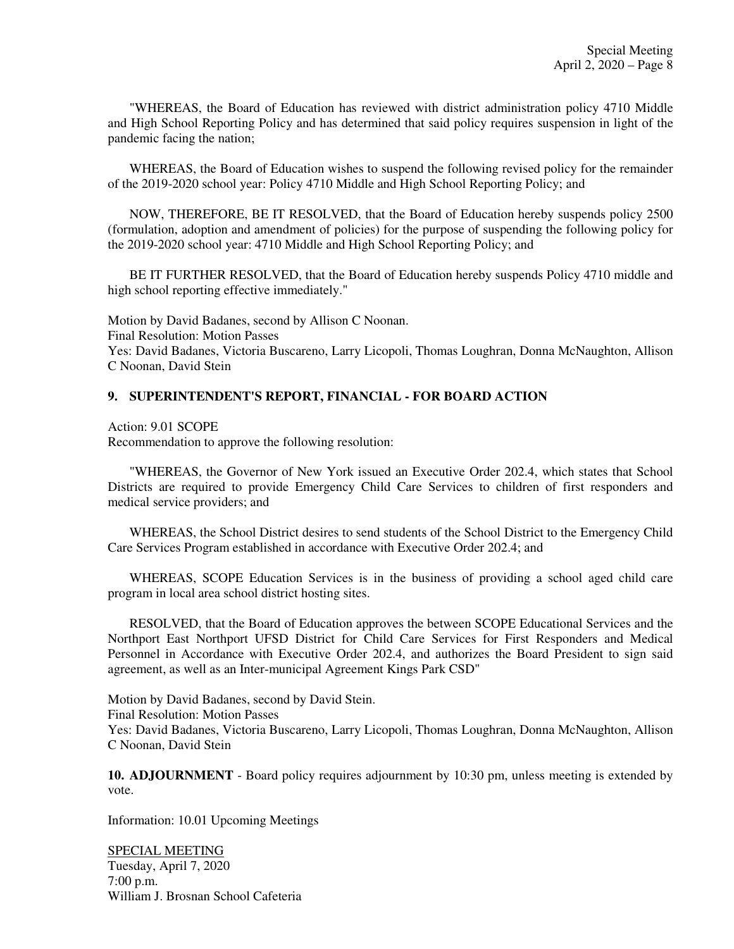"WHEREAS, the Board of Education has reviewed with district administration policy 4710 Middle and High School Reporting Policy and has determined that said policy requires suspension in light of the pandemic facing the nation;

WHEREAS, the Board of Education wishes to suspend the following revised policy for the remainder of the 2019-2020 school year: Policy 4710 Middle and High School Reporting Policy; and

NOW, THEREFORE, BE IT RESOLVED, that the Board of Education hereby suspends policy 2500 (formulation, adoption and amendment of policies) for the purpose of suspending the following policy for the 2019-2020 school year: 4710 Middle and High School Reporting Policy; and

BE IT FURTHER RESOLVED, that the Board of Education hereby suspends Policy 4710 middle and high school reporting effective immediately."

Motion by David Badanes, second by Allison C Noonan. Final Resolution: Motion Passes Yes: David Badanes, Victoria Buscareno, Larry Licopoli, Thomas Loughran, Donna McNaughton, Allison C Noonan, David Stein

## **9. SUPERINTENDENT'S REPORT, FINANCIAL - FOR BOARD ACTION**

Action: 9.01 SCOPE

Recommendation to approve the following resolution:

"WHEREAS, the Governor of New York issued an Executive Order 202.4, which states that School Districts are required to provide Emergency Child Care Services to children of first responders and medical service providers; and

WHEREAS, the School District desires to send students of the School District to the Emergency Child Care Services Program established in accordance with Executive Order 202.4; and

WHEREAS, SCOPE Education Services is in the business of providing a school aged child care program in local area school district hosting sites.

RESOLVED, that the Board of Education approves the between SCOPE Educational Services and the Northport East Northport UFSD District for Child Care Services for First Responders and Medical Personnel in Accordance with Executive Order 202.4, and authorizes the Board President to sign said agreement, as well as an Inter-municipal Agreement Kings Park CSD"

Motion by David Badanes, second by David Stein. Final Resolution: Motion Passes Yes: David Badanes, Victoria Buscareno, Larry Licopoli, Thomas Loughran, Donna McNaughton, Allison C Noonan, David Stein

**10. ADJOURNMENT** - Board policy requires adjournment by 10:30 pm, unless meeting is extended by vote.

Information: 10.01 Upcoming Meetings

SPECIAL MEETING Tuesday, April 7, 2020 7:00 p.m. William J. Brosnan School Cafeteria